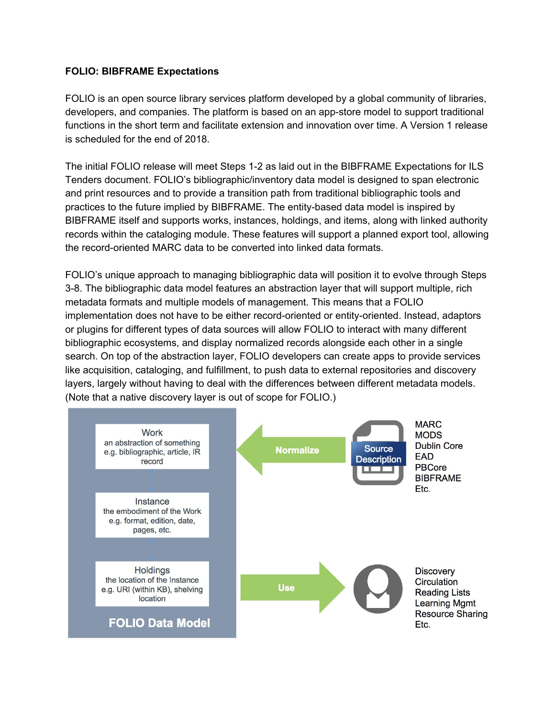## **FOLIO: BIBFRAME Expectations**

FOLIO is an open source library services platform developed by a global community of libraries, developers, and companies. The platform is based on an app-store model to support traditional functions in the short term and facilitate extension and innovation over time. A Version 1 release is scheduled for the end of 2018.

The initial FOLIO release will meet Steps 1-2 as laid out in the BIBFRAME Expectations for ILS Tenders document. FOLIO's bibliographic/inventory data model is designed to span electronic and print resources and to provide a transition path from traditional bibliographic tools and practices to the future implied by BIBFRAME. The entity-based data model is inspired by BIBFRAME itself and supports works, instances, holdings, and items, along with linked authority records within the cataloging module. These features will support a planned export tool, allowing the record-oriented MARC data to be converted into linked data formats.

FOLIO's unique approach to managing bibliographic data will position it to evolve through Steps 3-8. The bibliographic data model features an abstraction layer that will support multiple, rich metadata formats and multiple models of management. This means that a FOLIO implementation does not have to be either record-oriented or entity-oriented. Instead, adaptors or plugins for different types of data sources will allow FOLIO to interact with many different bibliographic ecosystems, and display normalized records alongside each other in a single search. On top of the abstraction layer, FOLIO developers can create apps to provide services like acquisition, cataloging, and fulfillment, to push data to external repositories and discovery layers, largely without having to deal with the differences between different metadata models. (Note that a native discovery layer is out of scope for FOLIO.)